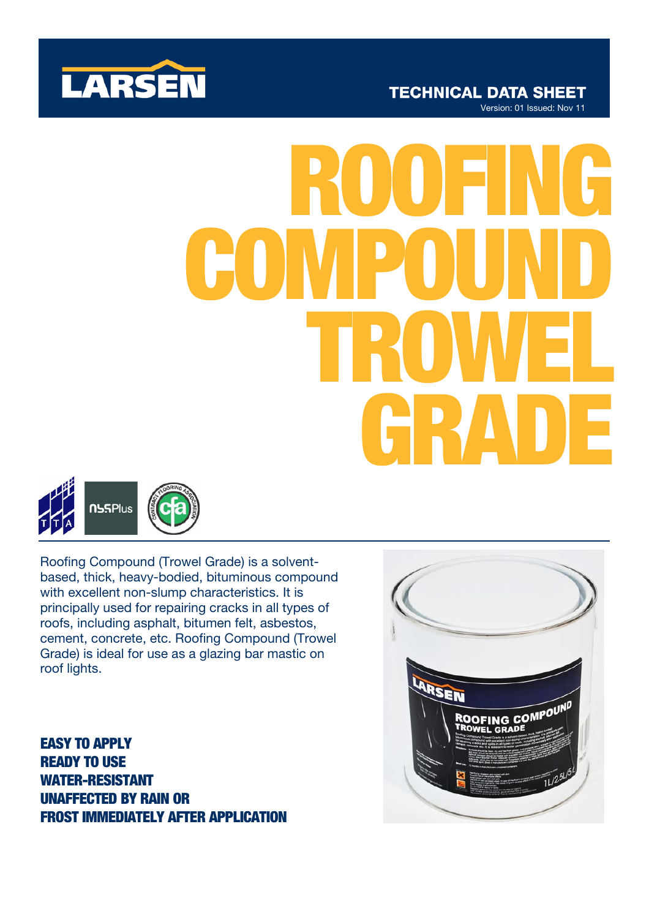

# ROOFING COMPOUND TROWEL **BRADE**



Roofing Compound (Trowel Grade) is a solventbased, thick, heavy-bodied, bituminous compound with excellent non-slump characteristics. It is principally used for repairing cracks in all types of roofs, including asphalt, bitumen felt, asbestos, cement, concrete, etc. Roofing Compound (Trowel Grade) is ideal for use as a glazing bar mastic on roof lights.

EASY TO APPLY READY TO USE WATER-RESISTANT UNAFFECTED BY RAIN OR FROST IMMEDIATELY AFTER APPLICATION

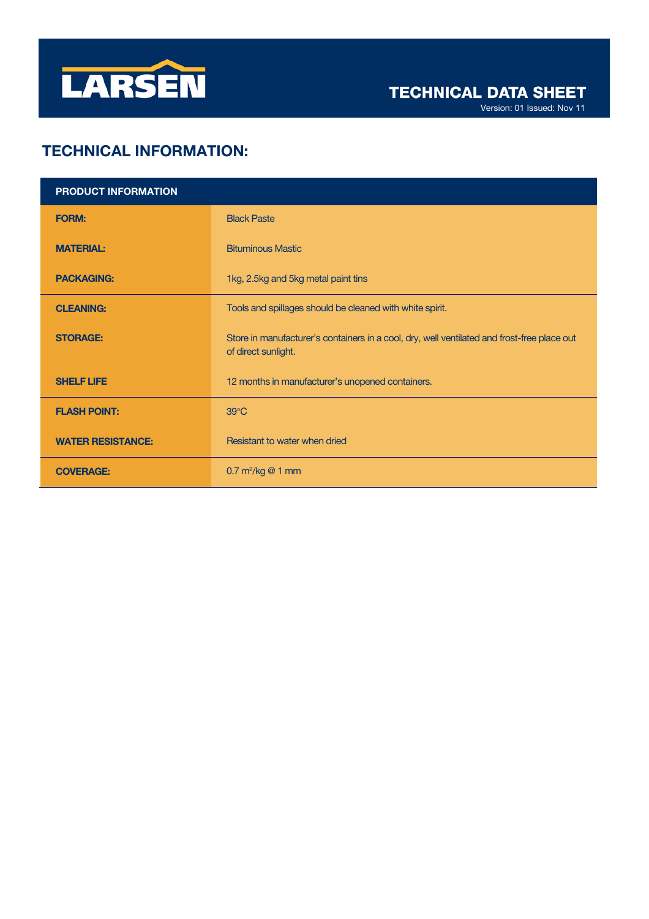

Version: 01 Issued: Nov 11

# TECHNICAL INFORMATION:

| <b>PRODUCT INFORMATION</b> |                                                                                                                    |
|----------------------------|--------------------------------------------------------------------------------------------------------------------|
| <b>FORM:</b>               | <b>Black Paste</b>                                                                                                 |
| <b>MATERIAL:</b>           | <b>Bituminous Mastic</b>                                                                                           |
| <b>PACKAGING:</b>          | 1kg, 2.5kg and 5kg metal paint tins                                                                                |
| <b>CLEANING:</b>           | Tools and spillages should be cleaned with white spirit.                                                           |
| <b>STORAGE:</b>            | Store in manufacturer's containers in a cool, dry, well ventilated and frost-free place out<br>of direct sunlight. |
| <b>SHELF LIFE</b>          | 12 months in manufacturer's unopened containers.                                                                   |
| <b>FLASH POINT:</b>        | $39^{\circ}$ C                                                                                                     |
| <b>WATER RESISTANCE:</b>   | Resistant to water when dried                                                                                      |
| <b>COVERAGE:</b>           | $0.7 \text{ m}^2/\text{kg}$ @ 1 mm                                                                                 |